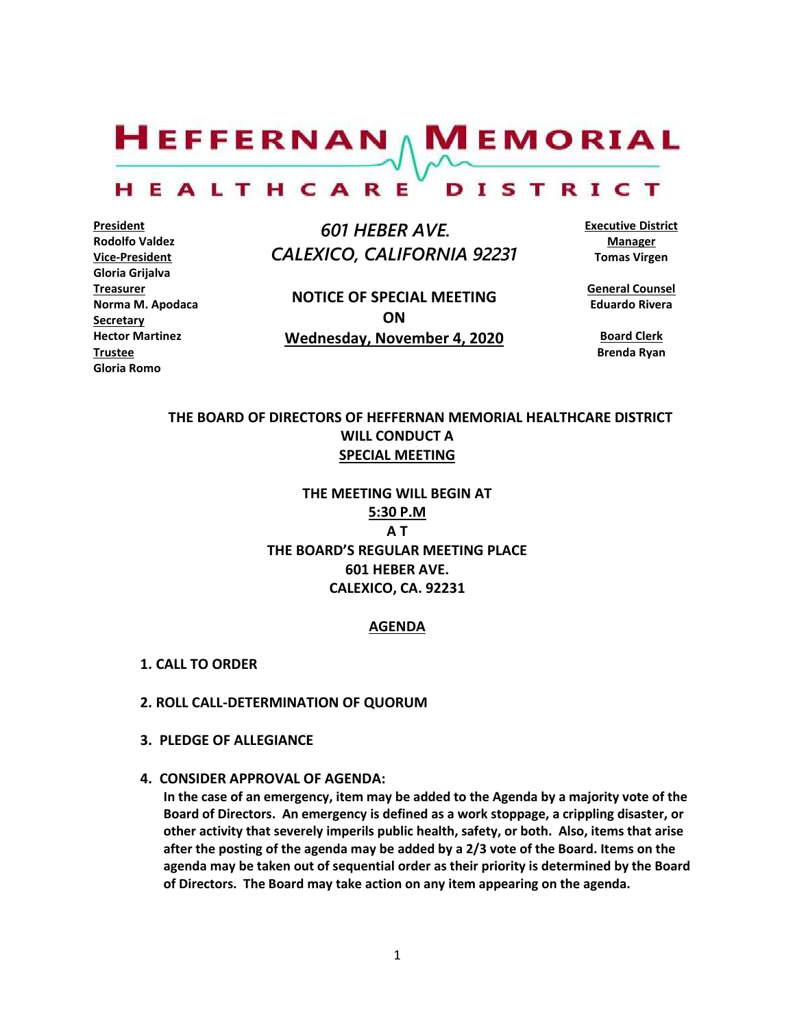$H$ EFFERNAN  $\wedge$  M EMORIAL HEALTHCARE DISTRICT

**President Rodolfo Valdez Vice-President Gloria Grijalva Treasurer Norma M. Apodaca Secretary Hector Martinez Trustee Gloria Romo**

 *601 HEBER AVE. CALEXICO, CALIFORNIA 92231*

**NOTICE OF SPECIAL MEETING ON Wednesday, November 4, 2020** **Executive District Manager Tomas Virgen**

**General Counsel Eduardo Rivera**

> **Board Clerk Brenda Ryan**

# **THE BOARD OF DIRECTORS OF HEFFERNAN MEMORIAL HEALTHCARE DISTRICT WILL CONDUCT A SPECIAL MEETING**

**THE MEETING WILL BEGIN AT 5:30 P.M A T THE BOARD'S REGULAR MEETING PLACE 601 HEBER AVE. CALEXICO, CA. 92231**

#### **AGENDA**

- **1. CALL TO ORDER**
- **2. ROLL CALL-DETERMINATION OF QUORUM**
- **3. PLEDGE OF ALLEGIANCE**
- **4. CONSIDER APPROVAL OF AGENDA:**

**In the case of an emergency, item may be added to the Agenda by a majority vote of the Board of Directors. An emergency is defined as a work stoppage, a crippling disaster, or other activity that severely imperils public health, safety, or both. Also, items that arise after the posting of the agenda may be added by a 2/3 vote of the Board. Items on the agenda may be taken out of sequential order as their priority is determined by the Board of Directors. The Board may take action on any item appearing on the agenda.**